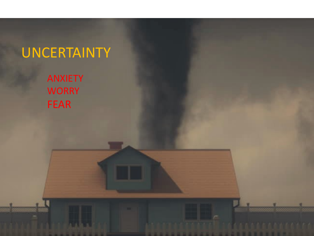## UNCERTAINTY

ANXIETY **WORRY** FEAR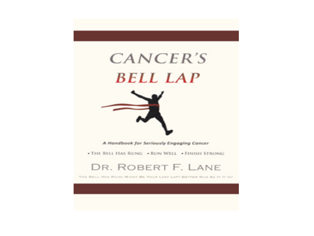



A Handbook for Seriously Engaging Cancer

. THE BELL HAS RUNG . RUN WELL . FINISH STRONG

#### DR. ROBERT F. LANE

THE BELL HAS RUNG MIGHT BE YOUR LAST LAPT BETTER RUN AS IF IT IST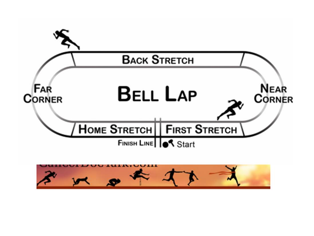

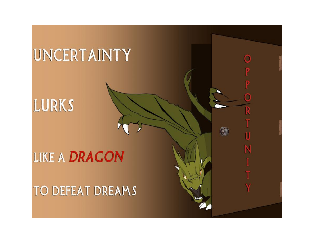# UNCERTAINTY

Ω

 $\bigcirc$ 

LURKS

## **LIKE A DRAGON**

TO DEFEAT DREAMS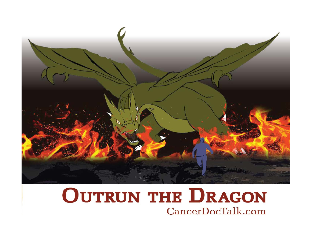

### **OUTRUN THE DRAGON** CancerDocTalk.com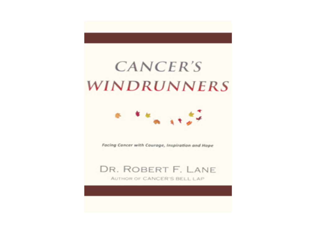## CANCER'S **WINDRUNNERS**



Facing Concer with Courage, Inspiration and Hope

#### DR. ROBERT F. LANE

AUTHOR OF CANCER'S BELL LAP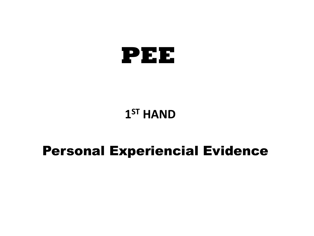

### $1<sup>ST</sup>$  **HAND**

### Personal Experiencial Evidence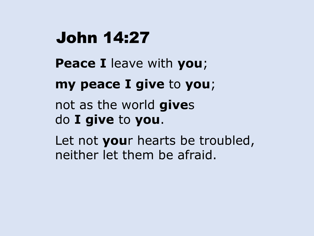## John 14:27

- **Peace I** leave with **you**;
- **my peace I give** to **you**;
- not as the world **give**s do **I give** to **you**.
- Let not **you**r hearts be troubled, neither let them be afraid.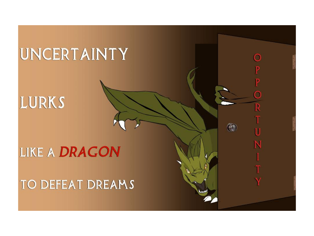# UNCERTAINTY

Ο

R

N

 $\bigcirc$ 

LURKS

### **LIKE A DRAGON**

### TO DEFEAT DREAMS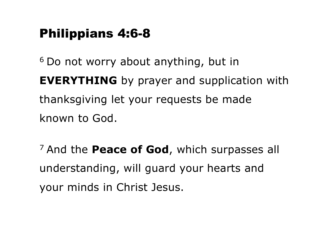### Philippians 4:6-8

<sup>6</sup> Do not worry about anything, but in **EVERYTHING** by prayer and supplication with thanksgiving let your requests be made known to God.

<sup>7</sup> And the **Peace of God**, which surpasses all understanding, will guard your hearts and your minds in Christ Jesus.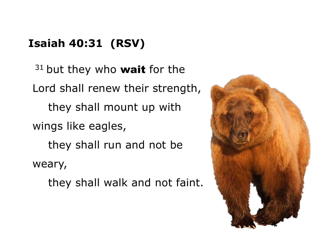### **Isaiah 40:31 (RSV)**

 $31$  but they who wait for the Lord shall renew their strength, they shall mount up with wings like eagles, they shall run and not be weary, they shall walk and not faint.

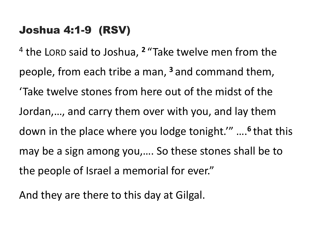#### Joshua 4:1-9 (RSV)

<sup>4</sup> the LORD said to Joshua, <sup>2</sup> "Take twelve men from the people, from each tribe a man, <sup>3</sup> and command them, 'Take twelve stones from here out of the midst of the Jordan,..., and carry them over with you, and lay them down in the place where you lodge tonight." ....<sup>6</sup> that this may be a sign among you,.... So these stones shall be to the people of Israel a memorial for ever."

And they are there to this day at Gilgal.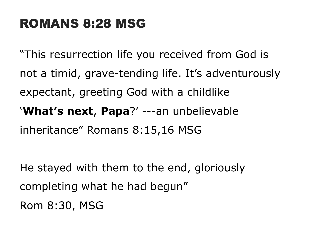### ROMANS 8:28 MSG

"This resurrection life you received from God is not a timid, grave-tending life. It's adventurously expectant, greeting God with a childlike '**What's next**, **Papa**?' ---an unbelievable inheritance" Romans 8:15,16 MSG

He stayed with them to the end, gloriously completing what he had begun" Rom 8:30, MSG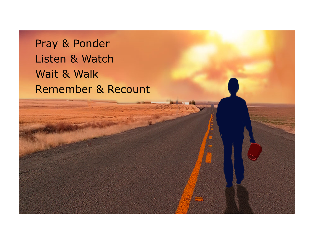### Pray & Ponder Listen & Watch Wait & Walk Remember & Recount